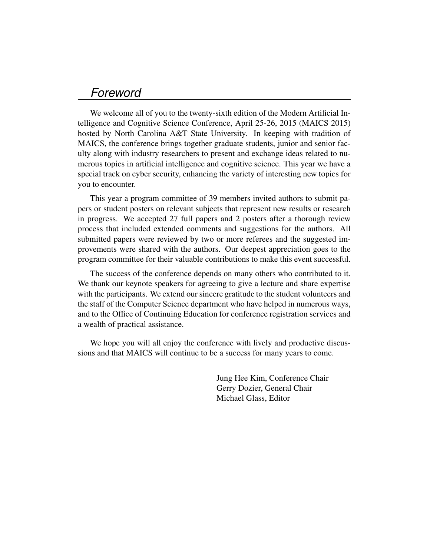## *Foreword*

We welcome all of you to the twenty-sixth edition of the Modern Artificial Intelligence and Cognitive Science Conference, April 25-26, 2015 (MAICS 2015) hosted by North Carolina A&T State University. In keeping with tradition of MAICS, the conference brings together graduate students, junior and senior faculty along with industry researchers to present and exchange ideas related to numerous topics in artificial intelligence and cognitive science. This year we have a special track on cyber security, enhancing the variety of interesting new topics for you to encounter.

This year a program committee of 39 members invited authors to submit papers or student posters on relevant subjects that represent new results or research in progress. We accepted 27 full papers and 2 posters after a thorough review process that included extended comments and suggestions for the authors. All submitted papers were reviewed by two or more referees and the suggested improvements were shared with the authors. Our deepest appreciation goes to the program committee for their valuable contributions to make this event successful.

The success of the conference depends on many others who contributed to it. We thank our keynote speakers for agreeing to give a lecture and share expertise with the participants. We extend our sincere gratitude to the student volunteers and the staff of the Computer Science department who have helped in numerous ways, and to the Office of Continuing Education for conference registration services and a wealth of practical assistance.

We hope you will all enjoy the conference with lively and productive discussions and that MAICS will continue to be a success for many years to come.

> Jung Hee Kim, Conference Chair Gerry Dozier, General Chair Michael Glass, Editor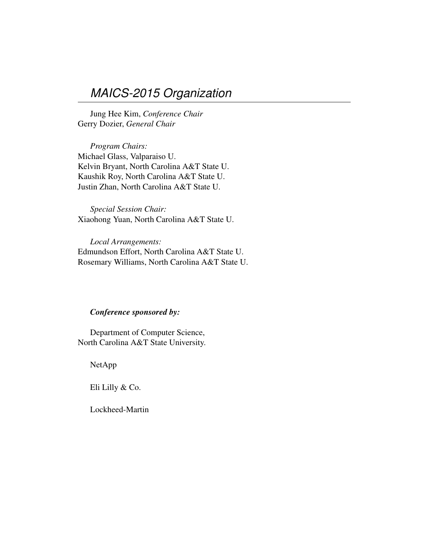## *MAICS-2015 Organization*

Jung Hee Kim, *Conference Chair* Gerry Dozier, *General Chair*

*Program Chairs:* Michael Glass, Valparaiso U. Kelvin Bryant, North Carolina A&T State U. Kaushik Roy, North Carolina A&T State U. Justin Zhan, North Carolina A&T State U.

*Special Session Chair:* Xiaohong Yuan, North Carolina A&T State U.

*Local Arrangements:* Edmundson Effort, North Carolina A&T State U. Rosemary Williams, North Carolina A&T State U.

## *Conference sponsored by:*

Department of Computer Science, North Carolina A&T State University.

NetApp

Eli Lilly & Co.

Lockheed-Martin